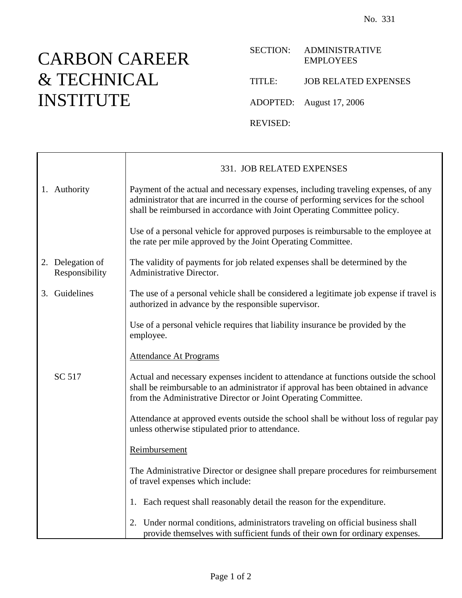## CARBON CAREER & TECHNICAL INSTITUTE

Ē

## SECTION: ADMINISTRATIVE EMPLOYEES

TITLE: JOB RELATED EXPENSES

ADOPTED: August 17, 2006

REVISED:

|                                    | 331. JOB RELATED EXPENSES                                                                                                                                                                                                                             |
|------------------------------------|-------------------------------------------------------------------------------------------------------------------------------------------------------------------------------------------------------------------------------------------------------|
| 1. Authority                       | Payment of the actual and necessary expenses, including traveling expenses, of any<br>administrator that are incurred in the course of performing services for the school<br>shall be reimbursed in accordance with Joint Operating Committee policy. |
|                                    | Use of a personal vehicle for approved purposes is reimbursable to the employee at<br>the rate per mile approved by the Joint Operating Committee.                                                                                                    |
| 2. Delegation of<br>Responsibility | The validity of payments for job related expenses shall be determined by the<br>Administrative Director.                                                                                                                                              |
| 3. Guidelines                      | The use of a personal vehicle shall be considered a legitimate job expense if travel is<br>authorized in advance by the responsible supervisor.                                                                                                       |
|                                    | Use of a personal vehicle requires that liability insurance be provided by the<br>employee.                                                                                                                                                           |
|                                    | <b>Attendance At Programs</b>                                                                                                                                                                                                                         |
| SC 517                             | Actual and necessary expenses incident to attendance at functions outside the school<br>shall be reimbursable to an administrator if approval has been obtained in advance<br>from the Administrative Director or Joint Operating Committee.          |
|                                    | Attendance at approved events outside the school shall be without loss of regular pay<br>unless otherwise stipulated prior to attendance.                                                                                                             |
|                                    | Reimbursement                                                                                                                                                                                                                                         |
|                                    | The Administrative Director or designee shall prepare procedures for reimbursement<br>of travel expenses which include:                                                                                                                               |
|                                    | 1. Each request shall reasonably detail the reason for the expenditure.                                                                                                                                                                               |
|                                    | 2. Under normal conditions, administrators traveling on official business shall<br>provide themselves with sufficient funds of their own for ordinary expenses.                                                                                       |